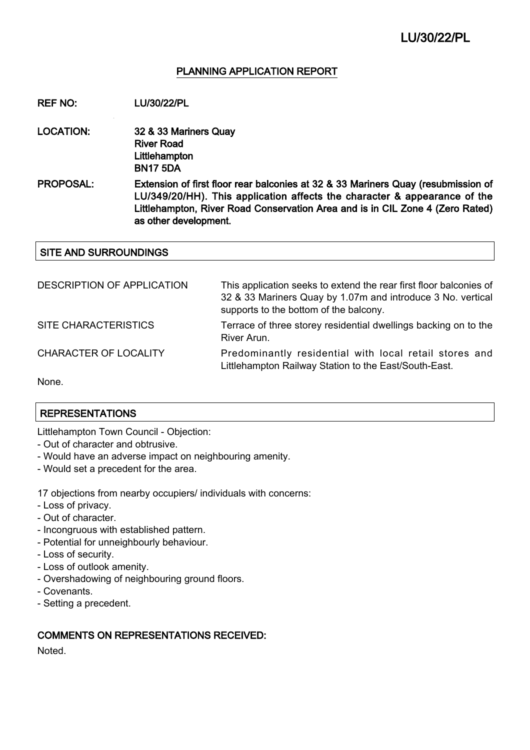### PLANNING APPLICATION REPORT

REF NO: LU/30/22/PL

LOCATION: 32 & 33 Mariners Quay River Road **Littlehampton** BN17 5DA

PROPOSAL: Extension of first floor rear balconies at 32 & 33 Mariners Quay (resubmission of LU/349/20/HH). This application affects the character & appearance of the Littlehampton, River Road Conservation Area and is in CIL Zone 4 (Zero Rated) as other development.

### SITE AND SURROUNDINGS

| DESCRIPTION OF APPLICATION   | This application seeks to extend the rear first floor balconies of<br>32 & 33 Mariners Quay by 1.07m and introduce 3 No. vertical<br>supports to the bottom of the balcony. |
|------------------------------|-----------------------------------------------------------------------------------------------------------------------------------------------------------------------------|
| SITE CHARACTERISTICS         | Terrace of three storey residential dwellings backing on to the<br>River Arun.                                                                                              |
| <b>CHARACTER OF LOCALITY</b> | Predominantly residential with local retail stores and<br>Littlehampton Railway Station to the East/South-East.                                                             |
|                              |                                                                                                                                                                             |

None.

### REPRESENTATIONS

Littlehampton Town Council - Objection:

- Out of character and obtrusive.
- Would have an adverse impact on neighbouring amenity.
- Would set a precedent for the area.

17 objections from nearby occupiers/ individuals with concerns:

- Loss of privacy.
- Out of character.
- Incongruous with established pattern.
- Potential for unneighbourly behaviour.
- Loss of security.
- Loss of outlook amenity.
- Overshadowing of neighbouring ground floors.
- Covenants.
- Setting a precedent.

# COMMENTS ON REPRESENTATIONS RECEIVED:

**Noted**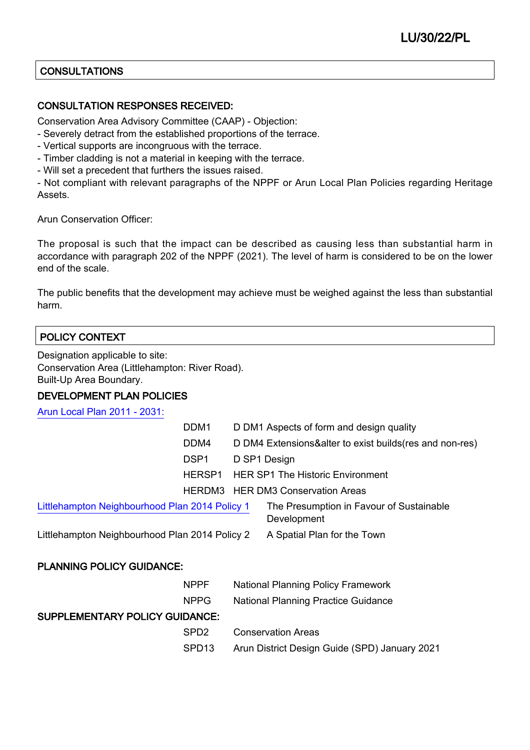# **CONSULTATIONS**

## CONSULTATION RESPONSES RECEIVED:

Conservation Area Advisory Committee (CAAP) - Objection:

- Severely detract from the established proportions of the terrace.
- Vertical supports are incongruous with the terrace.
- Timber cladding is not a material in keeping with the terrace.
- Will set a precedent that furthers the issues raised.

- Not compliant with relevant paragraphs of the NPPF or Arun Local Plan Policies regarding Heritage Assets.

Arun Conservation Officer:

The proposal is such that the impact can be described as causing less than substantial harm in accordance with paragraph 202 of the NPPF (2021). The level of harm is considered to be on the lower end of the scale.

The public benefits that the development may achieve must be weighed against the less than substantial harm.

# POLICY CONTEXT

Designation applicable to site: Conservation Area (Littlehampton: River Road). Built-Up Area Boundary.

DEVELOPMENT PLAN POLICIES

[Arun Local Plan 2011 - 2031:](https://www.arun.gov.uk/adopted-local-plan)

|                                                | DDM4             | D DM4 Extensions&alter to exist builds (res and non-res) |
|------------------------------------------------|------------------|----------------------------------------------------------|
|                                                | DSP <sub>1</sub> | D SP1 Design                                             |
|                                                | HERSP1           | <b>HER SP1 The Historic Environment</b>                  |
|                                                |                  | HERDM3 HER DM3 Conservation Areas                        |
| Littlehampton Neighbourhood Plan 2014 Policy 1 |                  | The Presumption in Favour of Sustainable<br>Development  |
| Littlehampton Neighbourhood Plan 2014 Policy 2 |                  | A Spatial Plan for the Town                              |

### PLANNING POLICY GUIDANCE:

|                                       | <b>NPPF</b>       | <b>National Planning Policy Framework</b>     |
|---------------------------------------|-------------------|-----------------------------------------------|
|                                       | NPPG.             | <b>National Planning Practice Guidance</b>    |
| <b>SUPPLEMENTARY POLICY GUIDANCE:</b> |                   |                                               |
|                                       | SPD <sub>2</sub>  | <b>Conservation Areas</b>                     |
|                                       | SPD <sub>13</sub> | Arun District Design Guide (SPD) January 2021 |
|                                       |                   |                                               |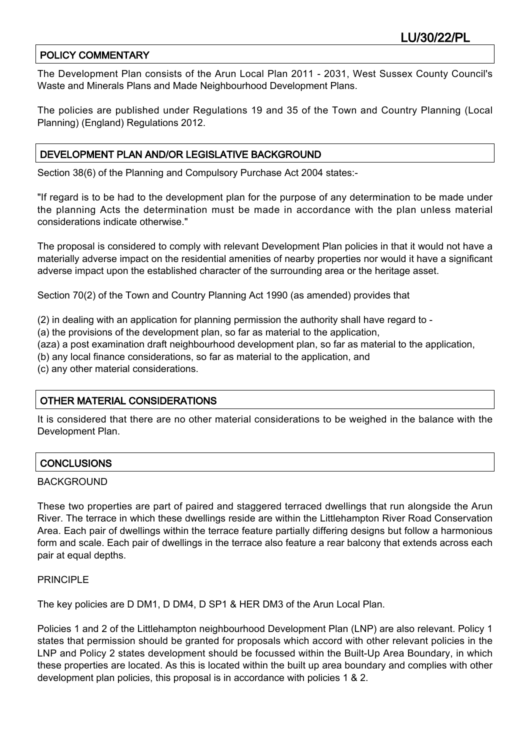# POLICY COMMENTARY

The Development Plan consists of the Arun Local Plan 2011 - 2031, West Sussex County Council's Waste and Minerals Plans and Made Neighbourhood Development Plans.

The policies are published under Regulations 19 and 35 of the Town and Country Planning (Local Planning) (England) Regulations 2012.

## DEVELOPMENT PLAN AND/OR LEGISLATIVE BACKGROUND

Section 38(6) of the Planning and Compulsory Purchase Act 2004 states:-

"If regard is to be had to the development plan for the purpose of any determination to be made under the planning Acts the determination must be made in accordance with the plan unless material considerations indicate otherwise."

The proposal is considered to comply with relevant Development Plan policies in that it would not have a materially adverse impact on the residential amenities of nearby properties nor would it have a significant adverse impact upon the established character of the surrounding area or the heritage asset.

Section 70(2) of the Town and Country Planning Act 1990 (as amended) provides that

(2) in dealing with an application for planning permission the authority shall have regard to -

(a) the provisions of the development plan, so far as material to the application,

(aza) a post examination draft neighbourhood development plan, so far as material to the application,

(b) any local finance considerations, so far as material to the application, and

(c) any other material considerations.

# OTHER MATERIAL CONSIDERATIONS

It is considered that there are no other material considerations to be weighed in the balance with the Development Plan.

### **CONCLUSIONS**

#### BACKGROUND

These two properties are part of paired and staggered terraced dwellings that run alongside the Arun River. The terrace in which these dwellings reside are within the Littlehampton River Road Conservation Area. Each pair of dwellings within the terrace feature partially differing designs but follow a harmonious form and scale. Each pair of dwellings in the terrace also feature a rear balcony that extends across each pair at equal depths.

### PRINCIPLE

The key policies are D DM1, D DM4, D SP1 & HER DM3 of the Arun Local Plan.

Policies 1 and 2 of the Littlehampton neighbourhood Development Plan (LNP) are also relevant. Policy 1 states that permission should be granted for proposals which accord with other relevant policies in the LNP and Policy 2 states development should be focussed within the Built-Up Area Boundary, in which these properties are located. As this is located within the built up area boundary and complies with other development plan policies, this proposal is in accordance with policies 1 & 2.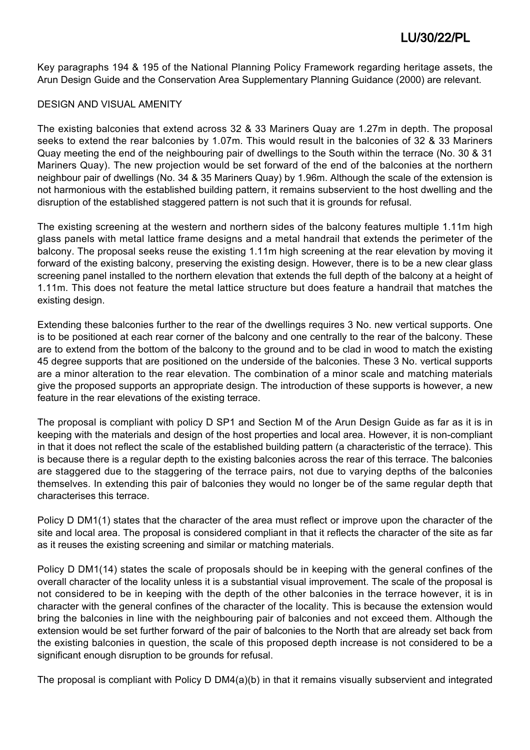Key paragraphs 194 & 195 of the National Planning Policy Framework regarding heritage assets, the Arun Design Guide and the Conservation Area Supplementary Planning Guidance (2000) are relevant.

### DESIGN AND VISUAL AMENITY

The existing balconies that extend across 32 & 33 Mariners Quay are 1.27m in depth. The proposal seeks to extend the rear balconies by 1.07m. This would result in the balconies of 32 & 33 Mariners Quay meeting the end of the neighbouring pair of dwellings to the South within the terrace (No. 30 & 31 Mariners Quay). The new projection would be set forward of the end of the balconies at the northern neighbour pair of dwellings (No. 34 & 35 Mariners Quay) by 1.96m. Although the scale of the extension is not harmonious with the established building pattern, it remains subservient to the host dwelling and the disruption of the established staggered pattern is not such that it is grounds for refusal.

The existing screening at the western and northern sides of the balcony features multiple 1.11m high glass panels with metal lattice frame designs and a metal handrail that extends the perimeter of the balcony. The proposal seeks reuse the existing 1.11m high screening at the rear elevation by moving it forward of the existing balcony, preserving the existing design. However, there is to be a new clear glass screening panel installed to the northern elevation that extends the full depth of the balcony at a height of 1.11m. This does not feature the metal lattice structure but does feature a handrail that matches the existing design.

Extending these balconies further to the rear of the dwellings requires 3 No. new vertical supports. One is to be positioned at each rear corner of the balcony and one centrally to the rear of the balcony. These are to extend from the bottom of the balcony to the ground and to be clad in wood to match the existing 45 degree supports that are positioned on the underside of the balconies. These 3 No. vertical supports are a minor alteration to the rear elevation. The combination of a minor scale and matching materials give the proposed supports an appropriate design. The introduction of these supports is however, a new feature in the rear elevations of the existing terrace.

The proposal is compliant with policy D SP1 and Section M of the Arun Design Guide as far as it is in keeping with the materials and design of the host properties and local area. However, it is non-compliant in that it does not reflect the scale of the established building pattern (a characteristic of the terrace). This is because there is a regular depth to the existing balconies across the rear of this terrace. The balconies are staggered due to the staggering of the terrace pairs, not due to varying depths of the balconies themselves. In extending this pair of balconies they would no longer be of the same regular depth that characterises this terrace.

Policy D DM1(1) states that the character of the area must reflect or improve upon the character of the site and local area. The proposal is considered compliant in that it reflects the character of the site as far as it reuses the existing screening and similar or matching materials.

Policy D DM1(14) states the scale of proposals should be in keeping with the general confines of the overall character of the locality unless it is a substantial visual improvement. The scale of the proposal is not considered to be in keeping with the depth of the other balconies in the terrace however, it is in character with the general confines of the character of the locality. This is because the extension would bring the balconies in line with the neighbouring pair of balconies and not exceed them. Although the extension would be set further forward of the pair of balconies to the North that are already set back from the existing balconies in question, the scale of this proposed depth increase is not considered to be a significant enough disruption to be grounds for refusal.

The proposal is compliant with Policy D DM4(a)(b) in that it remains visually subservient and integrated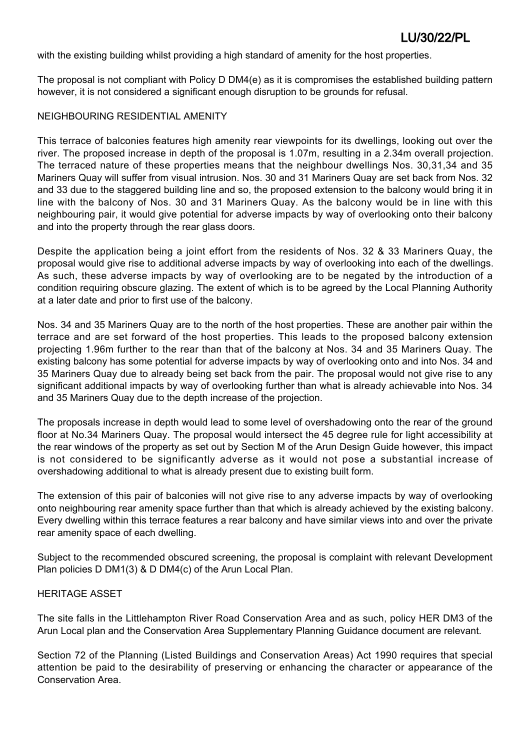with the existing building whilst providing a high standard of amenity for the host properties.

The proposal is not compliant with Policy D DM4(e) as it is compromises the established building pattern however, it is not considered a significant enough disruption to be grounds for refusal.

#### NEIGHBOURING RESIDENTIAL AMENITY

This terrace of balconies features high amenity rear viewpoints for its dwellings, looking out over the river. The proposed increase in depth of the proposal is 1.07m, resulting in a 2.34m overall projection. The terraced nature of these properties means that the neighbour dwellings Nos. 30,31,34 and 35 Mariners Quay will suffer from visual intrusion. Nos. 30 and 31 Mariners Quay are set back from Nos. 32 and 33 due to the staggered building line and so, the proposed extension to the balcony would bring it in line with the balcony of Nos. 30 and 31 Mariners Quay. As the balcony would be in line with this neighbouring pair, it would give potential for adverse impacts by way of overlooking onto their balcony and into the property through the rear glass doors.

Despite the application being a joint effort from the residents of Nos. 32 & 33 Mariners Quay, the proposal would give rise to additional adverse impacts by way of overlooking into each of the dwellings. As such, these adverse impacts by way of overlooking are to be negated by the introduction of a condition requiring obscure glazing. The extent of which is to be agreed by the Local Planning Authority at a later date and prior to first use of the balcony.

Nos. 34 and 35 Mariners Quay are to the north of the host properties. These are another pair within the terrace and are set forward of the host properties. This leads to the proposed balcony extension projecting 1.96m further to the rear than that of the balcony at Nos. 34 and 35 Mariners Quay. The existing balcony has some potential for adverse impacts by way of overlooking onto and into Nos. 34 and 35 Mariners Quay due to already being set back from the pair. The proposal would not give rise to any significant additional impacts by way of overlooking further than what is already achievable into Nos. 34 and 35 Mariners Quay due to the depth increase of the projection.

The proposals increase in depth would lead to some level of overshadowing onto the rear of the ground floor at No.34 Mariners Quay. The proposal would intersect the 45 degree rule for light accessibility at the rear windows of the property as set out by Section M of the Arun Design Guide however, this impact is not considered to be significantly adverse as it would not pose a substantial increase of overshadowing additional to what is already present due to existing built form.

The extension of this pair of balconies will not give rise to any adverse impacts by way of overlooking onto neighbouring rear amenity space further than that which is already achieved by the existing balcony. Every dwelling within this terrace features a rear balcony and have similar views into and over the private rear amenity space of each dwelling.

Subject to the recommended obscured screening, the proposal is complaint with relevant Development Plan policies D DM1(3) & D DM4(c) of the Arun Local Plan.

#### HERITAGE ASSET

The site falls in the Littlehampton River Road Conservation Area and as such, policy HER DM3 of the Arun Local plan and the Conservation Area Supplementary Planning Guidance document are relevant.

Section 72 of the Planning (Listed Buildings and Conservation Areas) Act 1990 requires that special attention be paid to the desirability of preserving or enhancing the character or appearance of the Conservation Area.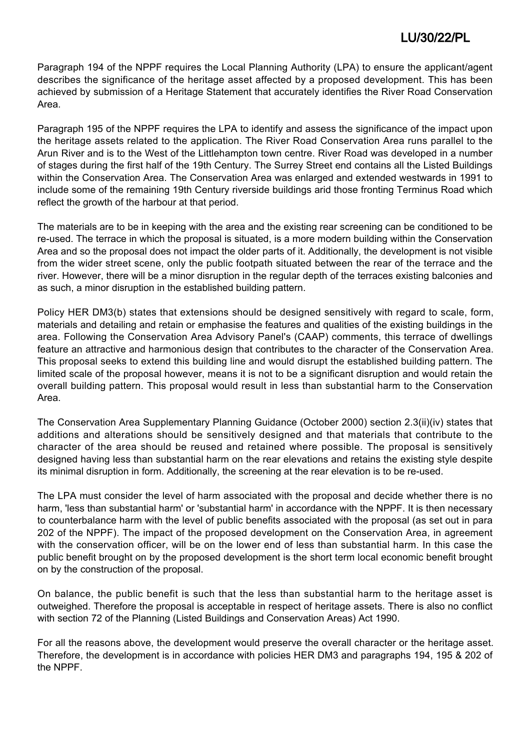Paragraph 194 of the NPPF requires the Local Planning Authority (LPA) to ensure the applicant/agent describes the significance of the heritage asset affected by a proposed development. This has been achieved by submission of a Heritage Statement that accurately identifies the River Road Conservation Area.

Paragraph 195 of the NPPF requires the LPA to identify and assess the significance of the impact upon the heritage assets related to the application. The River Road Conservation Area runs parallel to the Arun River and is to the West of the Littlehampton town centre. River Road was developed in a number of stages during the first half of the 19th Century. The Surrey Street end contains all the Listed Buildings within the Conservation Area. The Conservation Area was enlarged and extended westwards in 1991 to include some of the remaining 19th Century riverside buildings arid those fronting Terminus Road which reflect the growth of the harbour at that period.

The materials are to be in keeping with the area and the existing rear screening can be conditioned to be re-used. The terrace in which the proposal is situated, is a more modern building within the Conservation Area and so the proposal does not impact the older parts of it. Additionally, the development is not visible from the wider street scene, only the public footpath situated between the rear of the terrace and the river. However, there will be a minor disruption in the regular depth of the terraces existing balconies and as such, a minor disruption in the established building pattern.

Policy HER DM3(b) states that extensions should be designed sensitively with regard to scale, form, materials and detailing and retain or emphasise the features and qualities of the existing buildings in the area. Following the Conservation Area Advisory Panel's (CAAP) comments, this terrace of dwellings feature an attractive and harmonious design that contributes to the character of the Conservation Area. This proposal seeks to extend this building line and would disrupt the established building pattern. The limited scale of the proposal however, means it is not to be a significant disruption and would retain the overall building pattern. This proposal would result in less than substantial harm to the Conservation Area.

The Conservation Area Supplementary Planning Guidance (October 2000) section 2.3(ii)(iv) states that additions and alterations should be sensitively designed and that materials that contribute to the character of the area should be reused and retained where possible. The proposal is sensitively designed having less than substantial harm on the rear elevations and retains the existing style despite its minimal disruption in form. Additionally, the screening at the rear elevation is to be re-used.

The LPA must consider the level of harm associated with the proposal and decide whether there is no harm, 'less than substantial harm' or 'substantial harm' in accordance with the NPPF. It is then necessary to counterbalance harm with the level of public benefits associated with the proposal (as set out in para 202 of the NPPF). The impact of the proposed development on the Conservation Area, in agreement with the conservation officer, will be on the lower end of less than substantial harm. In this case the public benefit brought on by the proposed development is the short term local economic benefit brought on by the construction of the proposal.

On balance, the public benefit is such that the less than substantial harm to the heritage asset is outweighed. Therefore the proposal is acceptable in respect of heritage assets. There is also no conflict with section 72 of the Planning (Listed Buildings and Conservation Areas) Act 1990.

For all the reasons above, the development would preserve the overall character or the heritage asset. Therefore, the development is in accordance with policies HER DM3 and paragraphs 194, 195 & 202 of the NPPF.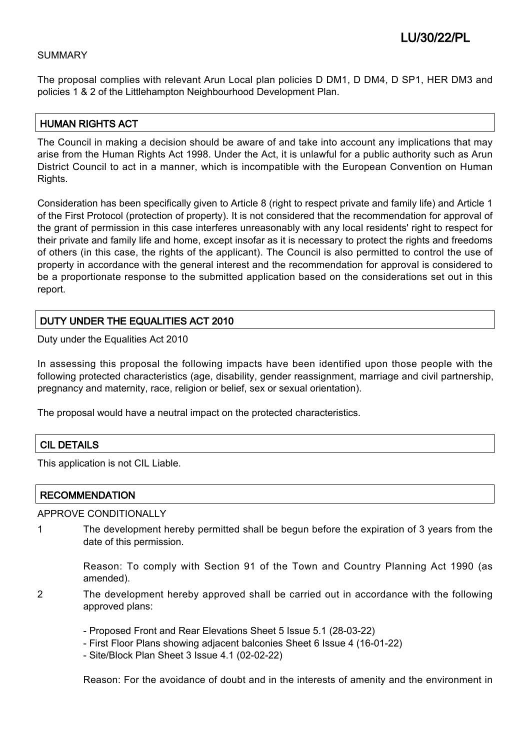#### SUMMARY

The proposal complies with relevant Arun Local plan policies D DM1, D DM4, D SP1, HER DM3 and policies 1 & 2 of the Littlehampton Neighbourhood Development Plan.

### HUMAN RIGHTS ACT

The Council in making a decision should be aware of and take into account any implications that may arise from the Human Rights Act 1998. Under the Act, it is unlawful for a public authority such as Arun District Council to act in a manner, which is incompatible with the European Convention on Human Rights.

Consideration has been specifically given to Article 8 (right to respect private and family life) and Article 1 of the First Protocol (protection of property). It is not considered that the recommendation for approval of the grant of permission in this case interferes unreasonably with any local residents' right to respect for their private and family life and home, except insofar as it is necessary to protect the rights and freedoms of others (in this case, the rights of the applicant). The Council is also permitted to control the use of property in accordance with the general interest and the recommendation for approval is considered to be a proportionate response to the submitted application based on the considerations set out in this report.

## DUTY UNDER THE EQUALITIES ACT 2010

Duty under the Equalities Act 2010

In assessing this proposal the following impacts have been identified upon those people with the following protected characteristics (age, disability, gender reassignment, marriage and civil partnership, pregnancy and maternity, race, religion or belief, sex or sexual orientation).

The proposal would have a neutral impact on the protected characteristics.

### CIL DETAILS

This application is not CIL Liable.

### **RECOMMENDATION**

APPROVE CONDITIONALLY

1 The development hereby permitted shall be begun before the expiration of 3 years from the date of this permission.

> Reason: To comply with Section 91 of the Town and Country Planning Act 1990 (as amended).

- 2 The development hereby approved shall be carried out in accordance with the following approved plans:
	- Proposed Front and Rear Elevations Sheet 5 Issue 5.1 (28-03-22)
	- First Floor Plans showing adjacent balconies Sheet 6 Issue 4 (16-01-22)
	- Site/Block Plan Sheet 3 Issue 4.1 (02-02-22)

Reason: For the avoidance of doubt and in the interests of amenity and the environment in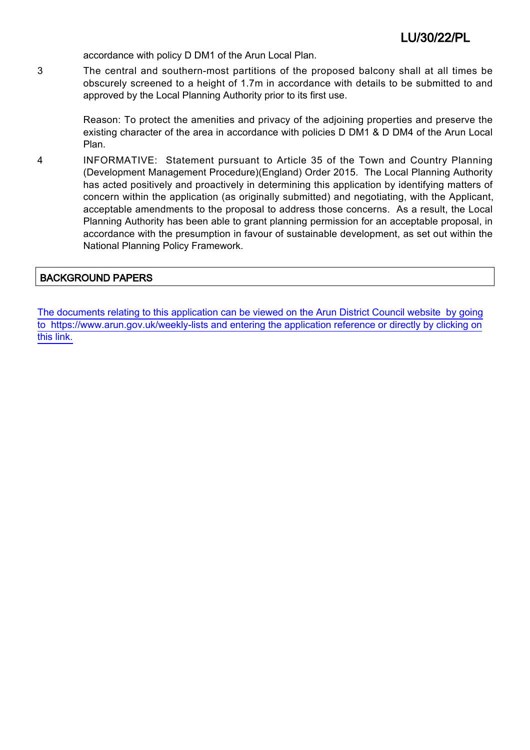accordance with policy D DM1 of the Arun Local Plan.

3 The central and southern-most partitions of the proposed balcony shall at all times be obscurely screened to a height of 1.7m in accordance with details to be submitted to and approved by the Local Planning Authority prior to its first use.

> Reason: To protect the amenities and privacy of the adjoining properties and preserve the existing character of the area in accordance with policies D DM1 & D DM4 of the Arun Local Plan.

4 INFORMATIVE: Statement pursuant to Article 35 of the Town and Country Planning (Development Management Procedure)(England) Order 2015. The Local Planning Authority has acted positively and proactively in determining this application by identifying matters of concern within the application (as originally submitted) and negotiating, with the Applicant, acceptable amendments to the proposal to address those concerns. As a result, the Local Planning Authority has been able to grant planning permission for an acceptable proposal, in accordance with the presumption in favour of sustainable development, as set out within the National Planning Policy Framework.

# BACKGROUND PAPERS

[The documents relating to this application can be viewed on the Arun District Council website by going](http://www1.arun.gov.uk/planrec/index.cfm?tpkey=eOcella&user_key_1=LU/30/22/PL&keyscheme=planning) [to https://www.arun.gov.uk/weekly-lists and entering the application reference or directly by clicking on](http://www1.arun.gov.uk/planrec/index.cfm?tpkey=eOcella&user_key_1=LU/30/22/PL&keyscheme=planning) [this link.](http://www1.arun.gov.uk/planrec/index.cfm?tpkey=eOcella&user_key_1=LU/30/22/PL&keyscheme=planning)